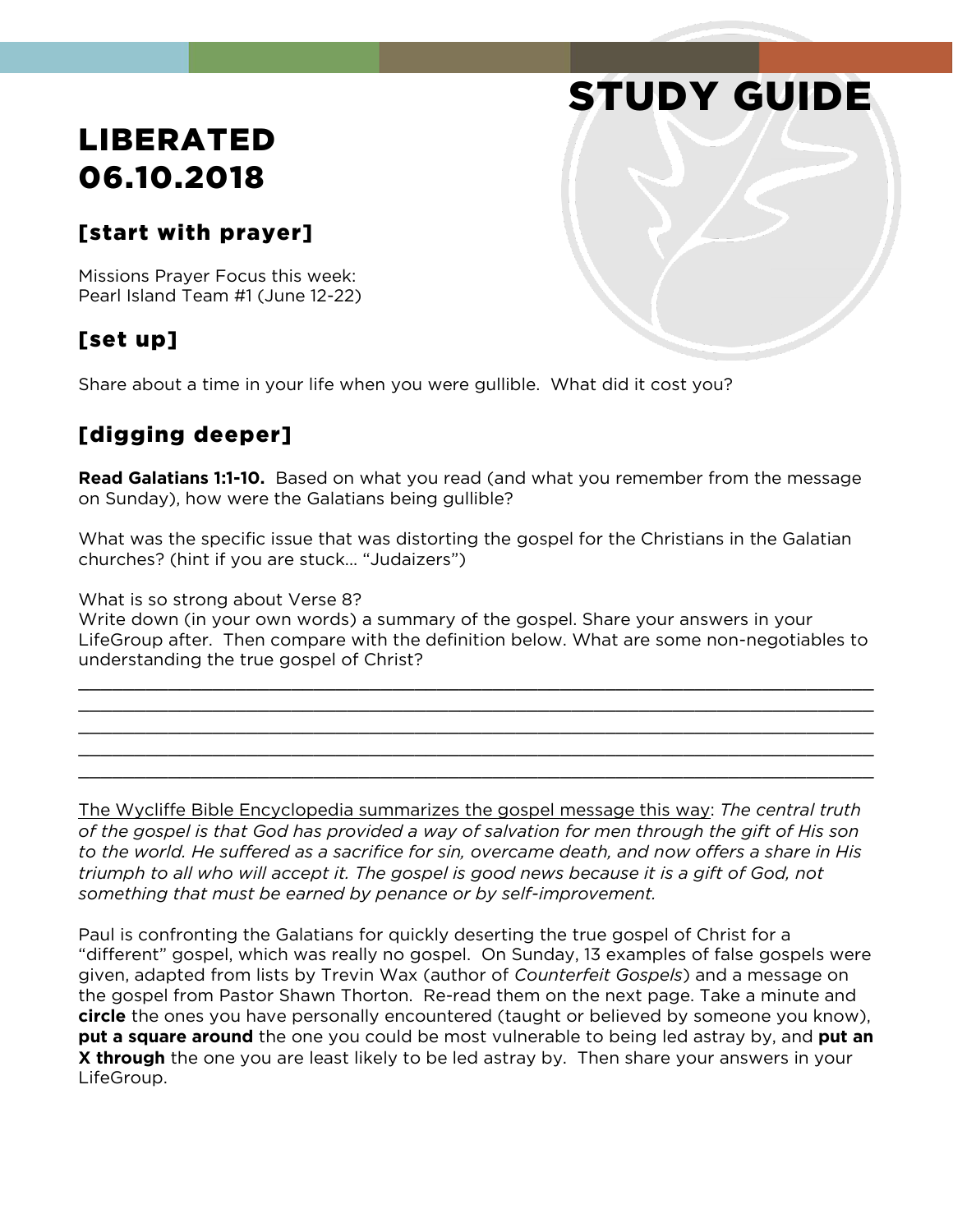# STUDY GUIDE

## LIBERATED 06.10.2018

#### [start with prayer]

Missions Prayer Focus this week: Pearl Island Team #1 (June 12-22)

### [set up]

Share about a time in your life when you were gullible. What did it cost you?

#### [digging deeper]

**Read Galatians 1:1-10.** Based on what you read (and what you remember from the message on Sunday), how were the Galatians being gullible?

What was the specific issue that was distorting the gospel for the Christians in the Galatian churches? (hint if you are stuck... "Judaizers")

What is so strong about Verse 8?

Write down (in your own words) a summary of the gospel. Share your answers in your LifeGroup after. Then compare with the definition below. What are some non-negotiables to understanding the true gospel of Christ?

\_\_\_\_\_\_\_\_\_\_\_\_\_\_\_\_\_\_\_\_\_\_\_\_\_\_\_\_\_\_\_\_\_\_\_\_\_\_\_\_\_\_\_\_\_\_\_\_\_\_\_\_\_\_\_\_\_\_\_\_\_\_\_\_\_\_\_\_\_\_\_ \_\_\_\_\_\_\_\_\_\_\_\_\_\_\_\_\_\_\_\_\_\_\_\_\_\_\_\_\_\_\_\_\_\_\_\_\_\_\_\_\_\_\_\_\_\_\_\_\_\_\_\_\_\_\_\_\_\_\_\_\_\_\_\_\_\_\_\_\_\_\_ \_\_\_\_\_\_\_\_\_\_\_\_\_\_\_\_\_\_\_\_\_\_\_\_\_\_\_\_\_\_\_\_\_\_\_\_\_\_\_\_\_\_\_\_\_\_\_\_\_\_\_\_\_\_\_\_\_\_\_\_\_\_\_\_\_\_\_\_\_\_\_ \_\_\_\_\_\_\_\_\_\_\_\_\_\_\_\_\_\_\_\_\_\_\_\_\_\_\_\_\_\_\_\_\_\_\_\_\_\_\_\_\_\_\_\_\_\_\_\_\_\_\_\_\_\_\_\_\_\_\_\_\_\_\_\_\_\_\_\_\_\_\_ \_\_\_\_\_\_\_\_\_\_\_\_\_\_\_\_\_\_\_\_\_\_\_\_\_\_\_\_\_\_\_\_\_\_\_\_\_\_\_\_\_\_\_\_\_\_\_\_\_\_\_\_\_\_\_\_\_\_\_\_\_\_\_\_\_\_\_\_\_\_\_

The Wycliffe Bible Encyclopedia summarizes the gospel message this way: *The central truth of the gospel is that God has provided a way of salvation for men through the gift of His son to the world. He suffered as a sacrifice for sin, overcame death, and now offers a share in His triumph to all who will accept it. The gospel is good news because it is a gift of God, not something that must be earned by penance or by self-improvement.*

Paul is confronting the Galatians for quickly deserting the true gospel of Christ for a "different" gospel, which was really no gospel. On Sunday, 13 examples of false gospels were given, adapted from lists by Trevin Wax (author of *Counterfeit Gospels*) and a message on the gospel from Pastor Shawn Thorton. Re-read them on the next page. Take a minute and **circle** the ones you have personally encountered (taught or believed by someone you know), **put a square around** the one you could be most vulnerable to being led astray by, and **put an X through** the one you are least likely to be led astray by. Then share your answers in your LifeGroup.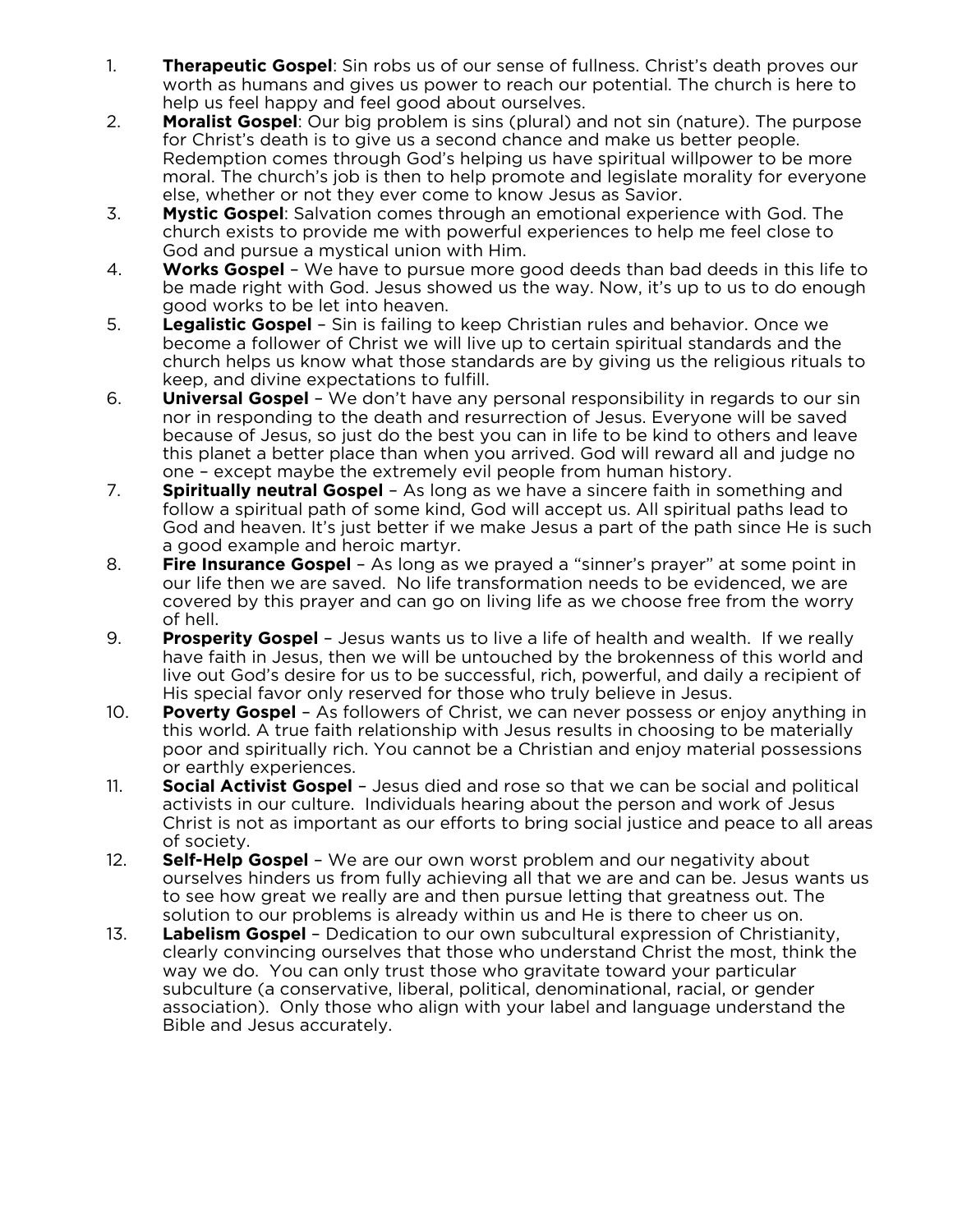- 1. **Therapeutic Gospel**: Sin robs us of our sense of fullness. Christ's death proves our worth as humans and gives us power to reach our potential. The church is here to help us feel happy and feel good about ourselves.
- 2. **Moralist Gospel**: Our big problem is sins (plural) and not sin (nature). The purpose for Christ's death is to give us a second chance and make us better people. Redemption comes through God's helping us have spiritual willpower to be more moral. The church's job is then to help promote and legislate morality for everyone else, whether or not they ever come to know Jesus as Savior.
- 3. **Mystic Gospel**: Salvation comes through an emotional experience with God. The church exists to provide me with powerful experiences to help me feel close to God and pursue a mystical union with Him.
- 4. **Works Gospel** We have to pursue more good deeds than bad deeds in this life to be made right with God. Jesus showed us the way. Now, it's up to us to do enough good works to be let into heaven.
- 5. **Legalistic Gospel** Sin is failing to keep Christian rules and behavior. Once we become a follower of Christ we will live up to certain spiritual standards and the church helps us know what those standards are by giving us the religious rituals to keep, and divine expectations to fulfill.
- 6. **Universal Gospel** We don't have any personal responsibility in regards to our sin nor in responding to the death and resurrection of Jesus. Everyone will be saved because of Jesus, so just do the best you can in life to be kind to others and leave this planet a better place than when you arrived. God will reward all and judge no one – except maybe the extremely evil people from human history.
- 7. **Spiritually neutral Gospel** As long as we have a sincere faith in something and follow a spiritual path of some kind, God will accept us. All spiritual paths lead to God and heaven. It's just better if we make Jesus a part of the path since He is such a good example and heroic martyr.
- 8. **Fire Insurance Gospel** As long as we prayed a "sinner's prayer" at some point in our life then we are saved. No life transformation needs to be evidenced, we are covered by this prayer and can go on living life as we choose free from the worry of hell.
- 9. **Prosperity Gospel** Jesus wants us to live a life of health and wealth. If we really have faith in Jesus, then we will be untouched by the brokenness of this world and live out God's desire for us to be successful, rich, powerful, and daily a recipient of His special favor only reserved for those who truly believe in Jesus.
- 10. **Poverty Gospel** As followers of Christ, we can never possess or enjoy anything in this world. A true faith relationship with Jesus results in choosing to be materially poor and spiritually rich. You cannot be a Christian and enjoy material possessions or earthly experiences.
- 11. **Social Activist Gospel** Jesus died and rose so that we can be social and political activists in our culture. Individuals hearing about the person and work of Jesus Christ is not as important as our efforts to bring social justice and peace to all areas of society.
- 12. **Self-Help Gospel** We are our own worst problem and our negativity about ourselves hinders us from fully achieving all that we are and can be. Jesus wants us to see how great we really are and then pursue letting that greatness out. The solution to our problems is already within us and He is there to cheer us on.
- 13. **Labelism Gospel** Dedication to our own subcultural expression of Christianity, clearly convincing ourselves that those who understand Christ the most, think the way we do. You can only trust those who gravitate toward your particular subculture (a conservative, liberal, political, denominational, racial, or gender association). Only those who align with your label and language understand the Bible and Jesus accurately.